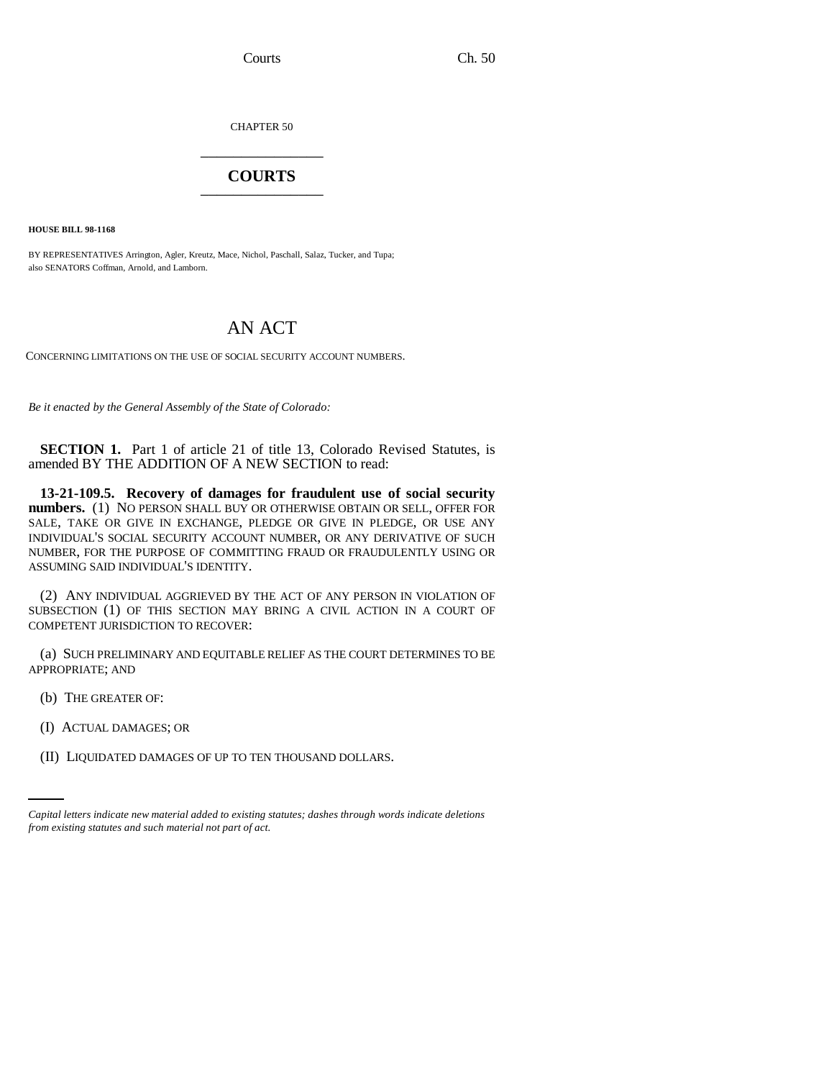Courts Ch. 50

CHAPTER 50 \_\_\_\_\_\_\_\_\_\_\_\_\_\_\_

## **COURTS** \_\_\_\_\_\_\_\_\_\_\_\_\_\_\_

**HOUSE BILL 98-1168**

BY REPRESENTATIVES Arrington, Agler, Kreutz, Mace, Nichol, Paschall, Salaz, Tucker, and Tupa; also SENATORS Coffman, Arnold, and Lamborn.

## AN ACT

CONCERNING LIMITATIONS ON THE USE OF SOCIAL SECURITY ACCOUNT NUMBERS.

*Be it enacted by the General Assembly of the State of Colorado:*

**SECTION 1.** Part 1 of article 21 of title 13, Colorado Revised Statutes, is amended BY THE ADDITION OF A NEW SECTION to read:

**13-21-109.5. Recovery of damages for fraudulent use of social security numbers.** (1) NO PERSON SHALL BUY OR OTHERWISE OBTAIN OR SELL, OFFER FOR SALE, TAKE OR GIVE IN EXCHANGE, PLEDGE OR GIVE IN PLEDGE, OR USE ANY INDIVIDUAL'S SOCIAL SECURITY ACCOUNT NUMBER, OR ANY DERIVATIVE OF SUCH NUMBER, FOR THE PURPOSE OF COMMITTING FRAUD OR FRAUDULENTLY USING OR ASSUMING SAID INDIVIDUAL'S IDENTITY.

(2) ANY INDIVIDUAL AGGRIEVED BY THE ACT OF ANY PERSON IN VIOLATION OF SUBSECTION (1) OF THIS SECTION MAY BRING A CIVIL ACTION IN A COURT OF COMPETENT JURISDICTION TO RECOVER:

(a) SUCH PRELIMINARY AND EQUITABLE RELIEF AS THE COURT DETERMINES TO BE APPROPRIATE; AND

- (b) THE GREATER OF:
- (I) ACTUAL DAMAGES; OR
	- (II) LIQUIDATED DAMAGES OF UP TO TEN THOUSAND DOLLARS.

*Capital letters indicate new material added to existing statutes; dashes through words indicate deletions from existing statutes and such material not part of act.*